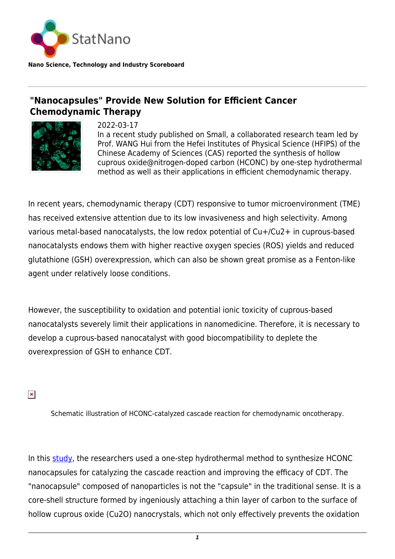

**Nano Science, Technology and Industry Scoreboard**

## **"Nanocapsules" Provide New Solution for Efficient Cancer Chemodynamic Therapy**



2022-03-17

In a recent study published on Small, a collaborated research team led by Prof. WANG Hui from the Hefei Institutes of Physical Science (HFIPS) of the Chinese Academy of Sciences (CAS) reported the synthesis of hollow cuprous oxide@nitrogen-doped carbon (HCONC) by one-step hydrothermal method as well as their applications in efficient chemodynamic therapy.

In recent years, chemodynamic therapy (CDT) responsive to tumor microenvironment (TME) has received extensive attention due to its low invasiveness and high selectivity. Among various metal-based nanocatalysts, the low redox potential of Cu+/Cu2+ in cuprous-based nanocatalysts endows them with higher reactive oxygen species (ROS) yields and reduced glutathione (GSH) overexpression, which can also be shown great promise as a Fenton-like agent under relatively loose conditions.

However, the susceptibility to oxidation and potential ionic toxicity of cuprous-based nanocatalysts severely limit their applications in nanomedicine. Therefore, it is necessary to develop a cuprous-based nanocatalyst with good biocompatibility to deplete the overexpression of GSH to enhance CDT.

 $\pmb{\times}$ 

Schematic illustration of HCONC-catalyzed cascade reaction for chemodynamic oncotherapy.

In this [study](https://onlinelibrary.wiley.com/doi/10.1002/smll.202107422), the researchers used a one-step hydrothermal method to synthesize HCONC nanocapsules for catalyzing the cascade reaction and improving the efficacy of CDT. The "nanocapsule" composed of nanoparticles is not the "capsule" in the traditional sense. It is a core-shell structure formed by ingeniously attaching a thin layer of carbon to the surface of hollow cuprous oxide (Cu2O) nanocrystals, which not only effectively prevents the oxidation